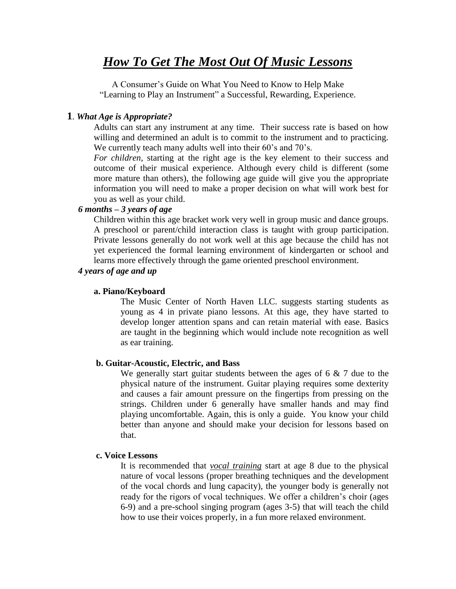# *How To Get The Most Out Of Music Lessons*

A Consumer's Guide on What You Need to Know to Help Make "Learning to Play an Instrument" a Successful, Rewarding, Experience.

#### **1**. *What Age is Appropriate?*

Adults can start any instrument at any time. Their success rate is based on how willing and determined an adult is to commit to the instrument and to practicing. We currently teach many adults well into their 60's and 70's.

*For children*, starting at the right age is the key element to their success and outcome of their musical experience. Although every child is different (some more mature than others), the following age guide will give you the appropriate information you will need to make a proper decision on what will work best for you as well as your child.

# *6 months – 3 years of age*

Children within this age bracket work very well in group music and dance groups. A preschool or parent/child interaction class is taught with group participation. Private lessons generally do not work well at this age because the child has not yet experienced the formal learning environment of kindergarten or school and learns more effectively through the game oriented preschool environment.

# *4 years of age and up*

# **a. Piano/Keyboard**

The Music Center of North Haven LLC. suggests starting students as young as 4 in private piano lessons. At this age, they have started to develop longer attention spans and can retain material with ease. Basics are taught in the beginning which would include note recognition as well as ear training.

#### **b. Guitar-Acoustic, Electric, and Bass**

We generally start guitar students between the ages of  $6 \& 7$  due to the physical nature of the instrument. Guitar playing requires some dexterity and causes a fair amount pressure on the fingertips from pressing on the strings. Children under 6 generally have smaller hands and may find playing uncomfortable. Again, this is only a guide. You know your child better than anyone and should make your decision for lessons based on that.

#### **c. Voice Lessons**

It is recommended that *vocal training* start at age 8 due to the physical nature of vocal lessons (proper breathing techniques and the development of the vocal chords and lung capacity), the younger body is generally not ready for the rigors of vocal techniques. We offer a children's choir (ages 6-9) and a pre-school singing program (ages 3-5) that will teach the child how to use their voices properly, in a fun more relaxed environment.